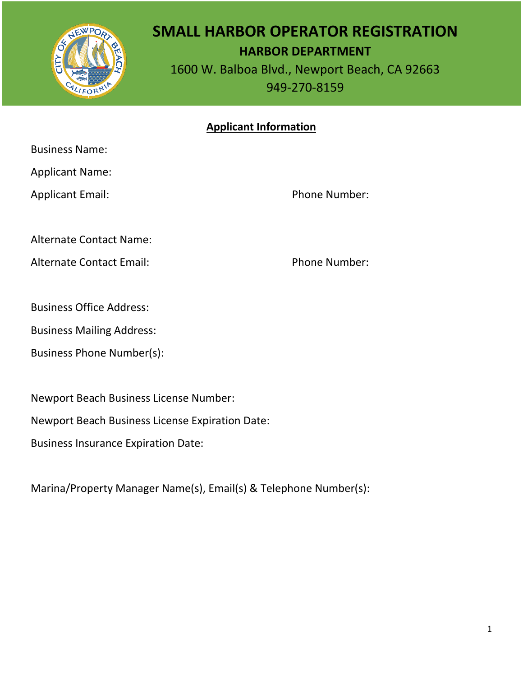

# **SMALL HARBOR OPERATOR REGISTRATION HARBOR DEPARTMENT**

1600 W. Balboa Blvd., Newport Beach, CA 92663 949-270-8159

### **Applicant Information**

Business Name:

Applicant Name:

Applicant Email: Phone Number:

Alternate Contact Name:

Alternate Contact Email: Phone Number:

Business Office Address:

Business Mailing Address:

Business Phone Number(s):

Newport Beach Business License Number:

Newport Beach Business License Expiration Date:

Business Insurance Expiration Date:

Marina/Property Manager Name(s), Email(s) & Telephone Number(s):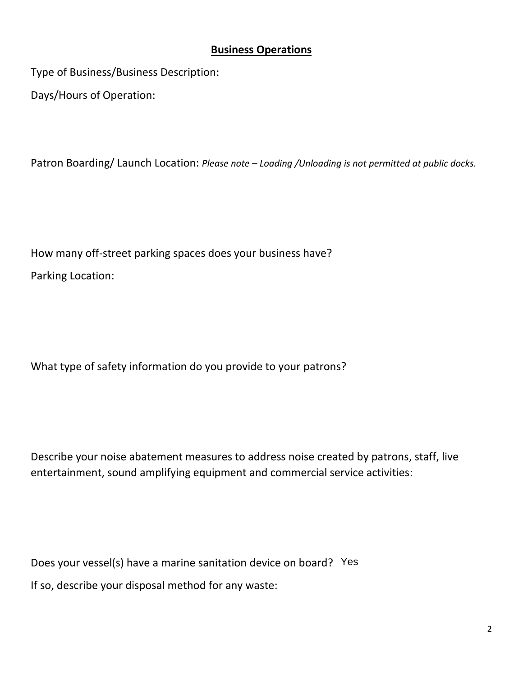#### **Business Operations**

Type of Business/Business Description:

Days/Hours of Operation:

Patron Boarding/ Launch Location: *Please note – Loading /Unloading is not permitted at public docks.*

How many off-street parking spaces does your business have? Parking Location:

What type of safety information do you provide to your patrons?

Describe your noise abatement measures to address noise created by patrons, staff, live entertainment, sound amplifying equipment and commercial service activities:

Does your vessel(s) have a marine sanitation device on board? YesIf so, describe your disposal method for any waste: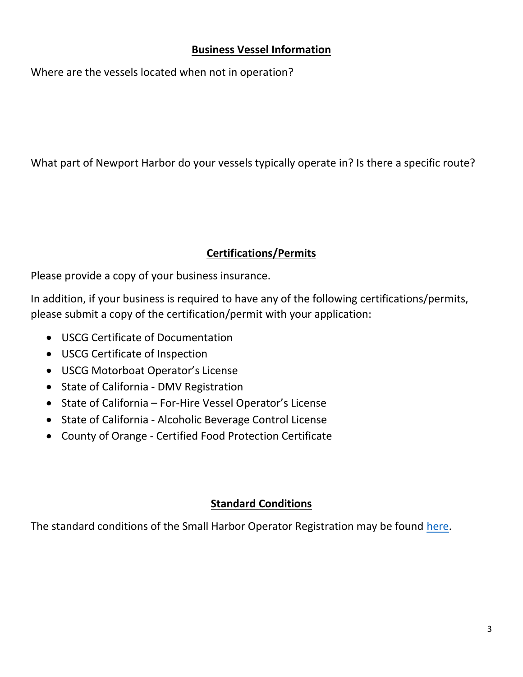#### **Business Vessel Information**

Where are the vessels located when not in operation?

What part of Newport Harbor do your vessels typically operate in? Is there a specific route?

# **Certifications/Permits**

Please provide a copy of your business insurance.

In addition, if your business is required to have any of the following certifications/permits, please submit a copy of the certification/permit with your application:

- USCG Certificate of Documentation
- USCG Certificate of Inspection
- USCG Motorboat Operator's License
- State of California DMV Registration
- State of California For-Hire Vessel Operator's License
- State of California Alcoholic Beverage Control License
- County of Orange Certified Food Protection Certificate

# **Standard Conditions**

The standard conditions of the Small Harbor Operator Registration may be found [here.](https://www.codepublishing.com/CA/NewportBeach/#!/NewportBeach17/NewportBeach1710.html)